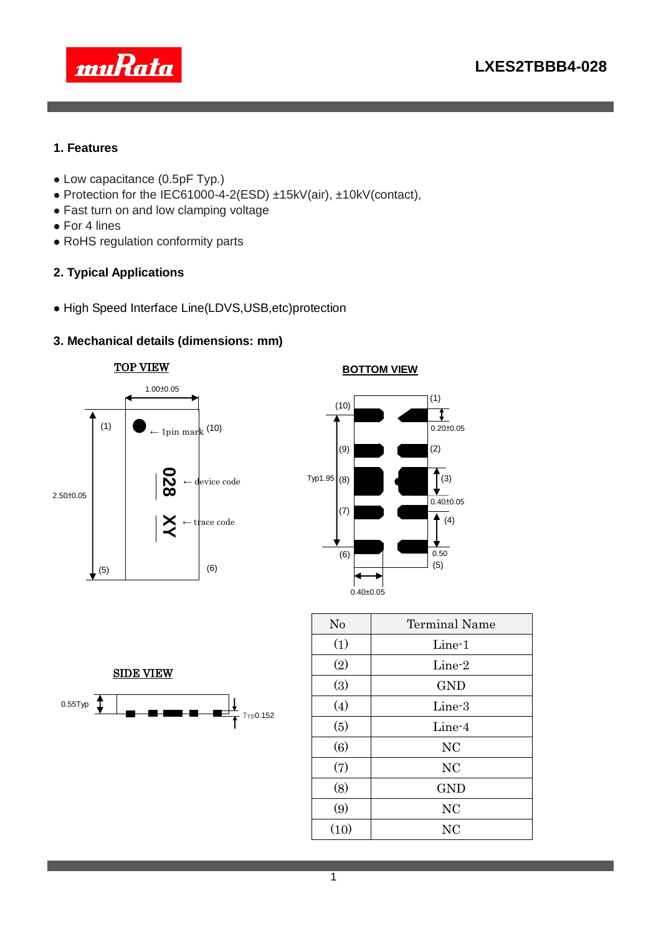



#### **1. Features**

- Low capacitance (0.5pF Typ.)
- Protection for the IEC61000-4-2(ESD) ±15kV(air), ±10kV(contact),
- Fast turn on and low clamping voltage
- For 4 lines
- RoHS regulation conformity parts

## **2. Typical Applications**

High Speed Interface Line(LDVS,USB,etc)protection

## **3. Mechanical details (dimensions: mm)**







| No   | <b>Terminal Name</b> |  |  |  |  |
|------|----------------------|--|--|--|--|
| (1)  | Line-1               |  |  |  |  |
| (2)  | Line-2               |  |  |  |  |
| (3)  | <b>GND</b>           |  |  |  |  |
| (4)  | Line-3               |  |  |  |  |
| (5)  | Line-4               |  |  |  |  |
| (6)  | NC                   |  |  |  |  |
| (7)  | <b>NC</b>            |  |  |  |  |
| (8)  | <b>GND</b>           |  |  |  |  |
| (9)  | NC                   |  |  |  |  |
| (10) | <b>NC</b>            |  |  |  |  |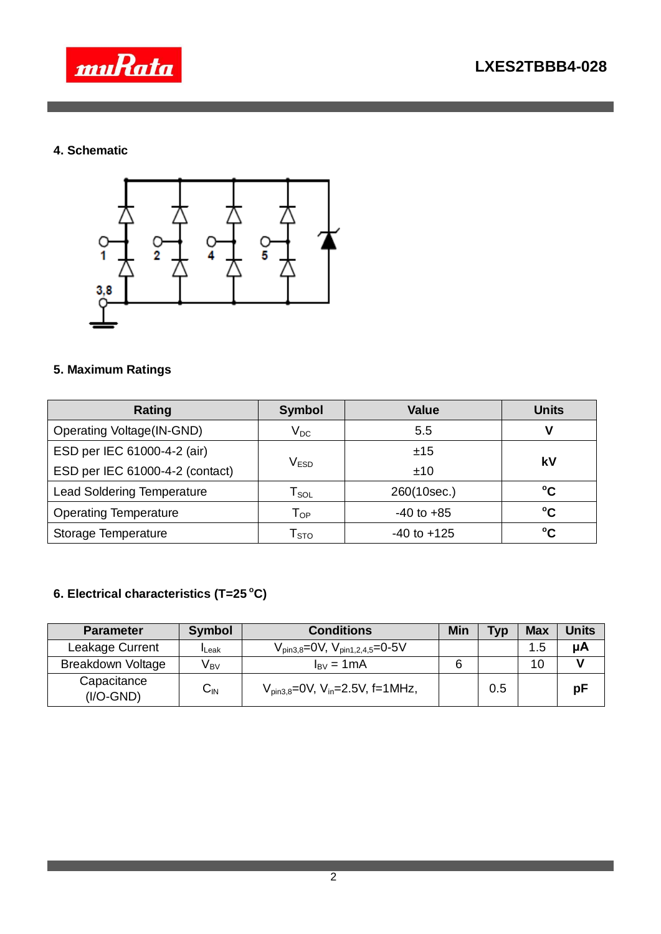



## **4. Schematic**



## **5. Maximum Ratings**

| <b>Rating</b>                     | <b>Symbol</b>                     | <b>Value</b>    | <b>Units</b>    |  |
|-----------------------------------|-----------------------------------|-----------------|-----------------|--|
| <b>Operating Voltage(IN-GND)</b>  | $\mathsf{V}_{\mathsf{DC}}$<br>5.5 |                 |                 |  |
| ESD per IEC 61000-4-2 (air)       |                                   | ±15             | k٧              |  |
| ESD per IEC 61000-4-2 (contact)   | $\mathsf{V}_{\texttt{ESD}}$       | ±10             |                 |  |
| <b>Lead Soldering Temperature</b> | $\mathsf{T}_{\mathsf{SOL}}$       | 260(10sec.)     | °C              |  |
| <b>Operating Temperature</b>      | $\mathsf{T}_{\mathsf{OP}}$        | $-40$ to $+85$  | °C              |  |
| Storage Temperature               | $\mathsf{T}_{\text{STO}}$         | $-40$ to $+125$ | $\rm ^{\circ}C$ |  |

# **6. Electrical characteristics (T=25 <sup>o</sup>C)**

| <b>Parameter</b>           | <b>Symbol</b>   | <b>Conditions</b>                                           | Min | Typ | <b>Max</b> | Units |
|----------------------------|-----------------|-------------------------------------------------------------|-----|-----|------------|-------|
| Leakage Current            | <b>I</b> Leak   | $V_{\text{pin3,8}}$ =0V, $V_{\text{pin1,2,4,5}}$ =0-5V      |     |     | 1.5        | μA    |
| <b>Breakdown Voltage</b>   | V <sub>вv</sub> | $I_{\rm BV} = 1 \text{mA}$                                  |     |     | 10         |       |
| Capacitance<br>$(I/O-GND)$ | ◡៲៶             | $V_{\text{pin3.8}} = 0V$ , $V_{\text{in}} = 2.5V$ , f=1MHz, |     | 0.5 |            | рF    |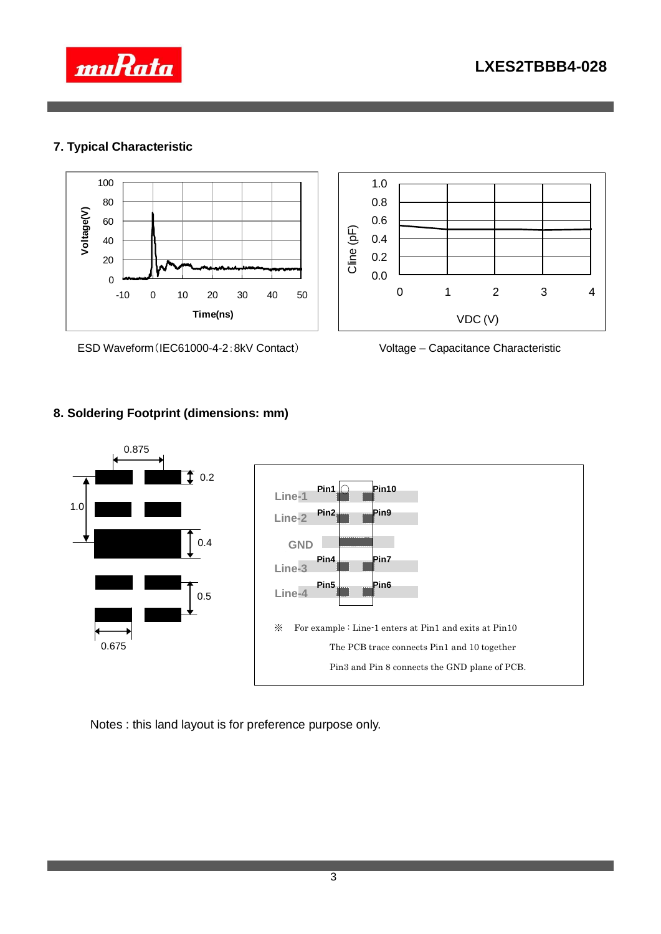

0 1 2 3 4

VDC (V)



## **7. Typical Characteristic**



ESD Waveform(IEC61000-4-2:8kV Contact) Voltage – Capacitance Characteristic





0.0 0.2 0.4 0.6 0.8 1.0

Cline (pF)

Notes : this land layout is for preference purpose only.